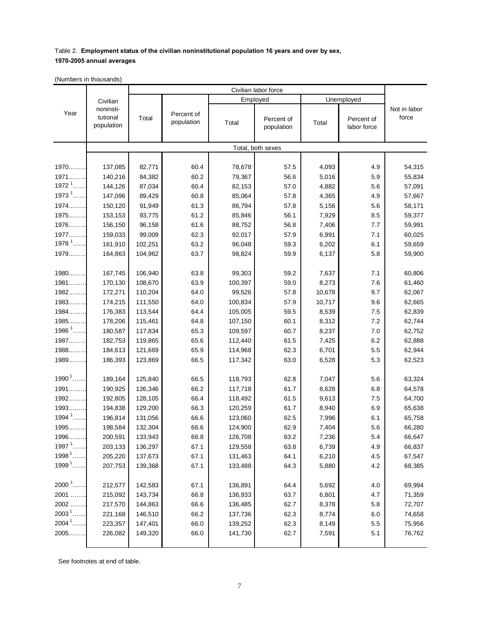## Table 2. **Employment status of the civilian noninstitutional population 16 years and over by sex, 1970-2005 annual averages**

(Numbers in thousands)

|                       |                                                 | Civilian labor force |                          |          |                          |        |                           |                       |
|-----------------------|-------------------------------------------------|----------------------|--------------------------|----------|--------------------------|--------|---------------------------|-----------------------|
|                       | Civilian<br>noninsti-<br>tutional<br>population |                      |                          | Employed |                          |        | Unemployed                |                       |
| Year                  |                                                 | Total                | Percent of<br>population | Total    | Percent of<br>population | Total  | Percent of<br>labor force | Not in labor<br>force |
|                       |                                                 |                      |                          |          | Total, both sexes        |        |                           |                       |
|                       |                                                 |                      |                          |          |                          |        |                           |                       |
| 1970                  | 137,085                                         | 82,771               | 60.4                     | 78,678   | 57.5                     | 4,093  | 4.9                       | 54,315                |
| $1971$                | 140,216                                         | 84,382               | 60.2                     | 79,367   | 56.6                     | 5,016  | 5.9                       | 55,834                |
| $19721$ .             | 144,126                                         | 87,034               | 60.4                     | 82,153   | 57.0                     | 4,882  | 5.6                       | 57,091                |
| 1973 $^1$             | 147,096                                         | 89,429               | 60.8                     | 85,064   | 57.8                     | 4,365  | 4.9                       | 57,667                |
| 1974                  | 150,120                                         | 91,949               | 61.3                     | 86,794   | 57.8                     | 5,156  | 5.6                       | 58,171                |
| 1975                  | 153,153                                         | 93,775               | 61.2                     | 85,846   | 56.1                     | 7,929  | 8.5                       | 59,377                |
| 1976                  | 156,150                                         | 96,158               | 61.6                     | 88,752   | 56.8                     | 7,406  | 7.7                       | 59,991                |
| 1977                  | 159,033                                         | 99,009               | 62.3                     | 92,017   | 57.9                     | 6,991  | 7.1                       | 60,025                |
| $1978$ <sup>1</sup>   | 161,910                                         | 102,251              | 63.2                     | 96,048   | 59.3                     | 6,202  | 6.1                       | 59,659                |
| 1979                  | 164,863                                         | 104,962              | 63.7                     | 98,824   | 59.9                     | 6,137  | 5.8                       | 59,900                |
|                       |                                                 |                      |                          |          |                          |        |                           |                       |
| 1980                  | 167,745                                         | 106,940              | 63.8                     | 99,303   | 59.2                     | 7,637  | 7.1                       | 60,806                |
| 1981                  | 170,130                                         | 108,670              | 63.9                     | 100,397  | 59.0                     | 8,273  | 7.6                       | 61,460                |
| 1982                  | 172,271                                         | 110,204              | 64.0                     | 99,526   | 57.8                     | 10,678 | 9.7                       | 62,067                |
| 1983                  | 174,215                                         | 111,550              | 64.0                     | 100,834  | 57.9                     | 10,717 | 9.6                       | 62,665                |
| 1984                  | 176,383                                         | 113,544              | 64.4                     | 105,005  | 59.5                     | 8,539  | 7.5                       | 62,839                |
| 1985                  | 178,206                                         | 115,461              | 64.8                     | 107,150  | 60.1                     | 8,312  | 7.2                       | 62,744                |
| $1986$ <sup>1</sup> . | 180,587                                         | 117,834              | 65.3                     | 109,597  | 60.7                     | 8,237  | 7.0                       | 62,752                |
| 1987                  | 182,753                                         | 119,865              | 65.6                     | 112,440  | 61.5                     | 7,425  | 6.2                       | 62,888                |
| 1988                  | 184,613                                         | 121,669              | 65.9                     | 114,968  | 62.3                     | 6,701  | 5.5                       | 62,944                |
| 1989                  | 186,393                                         | 123,869              | 66.5                     | 117,342  | 63.0                     | 6,528  | 5.3                       | 62,523                |
|                       |                                                 |                      |                          |          |                          |        |                           |                       |
| $1990$ <sup>1</sup>   | 189,164                                         | 125,840              | 66.5                     | 118,793  | 62.8                     | 7,047  | 5.6                       | 63,324                |
| 1991                  | 190,925                                         | 126,346              | 66.2                     | 117,718  | 61.7                     | 8,628  | 6.8                       | 64,578                |
| 1992                  | 192,805                                         | 128,105              | 66.4                     | 118,492  | 61.5                     | 9,613  | 7.5                       | 64,700                |
| $1993$                | 194,838                                         | 129,200              | 66.3                     | 120,259  | 61.7                     | 8,940  | 6.9                       | 65,638                |
| 1994 $1$              | 196,814                                         | 131,056              | 66.6                     | 123,060  | 62.5                     | 7,996  | 6.1                       | 65,758                |
| $1995$                | 198,584                                         | 132,304              | 66.6                     | 124,900  | 62.9                     | 7,404  | 5.6                       | 66,280                |
| 1996                  | 200,591                                         | 133,943              | 66.8                     | 126,708  | 63.2                     | 7,236  | 5.4                       | 66,647                |
| 1997 $1$              | 203,133                                         | 136,297              | 67.1                     | 129,558  | 63.8                     | 6,739  | 4.9                       | 66,837                |
| $1998$ <sup>1</sup>   | 205,220                                         | 137,673              | 67.1                     | 131,463  | 64.1                     | 6,210  | 4.5                       | 67,547                |
| $1999^1$              | 207,753                                         | 139,368              | 67.1                     | 133,488  | 64.3                     | 5,880  | 4.2                       | 68,385                |
|                       |                                                 |                      |                          |          |                          |        |                           |                       |
| $2000^1$              | 212,577                                         | 142,583              | 67.1                     | 136,891  | 64.4                     | 5,692  | 4.0                       | 69,994                |
| 2001.                 | 215,092                                         | 143,734              | 66.8                     | 136,933  | 63.7                     | 6,801  | 4.7                       | 71,359                |
| 2002.                 | 217,570                                         | 144,863              | 66.6                     | 136,485  | 62.7                     | 8,378  | 5.8                       | 72,707                |
| 2003 <sup>1</sup>     | 221,168                                         | 146,510              | 66.2                     | 137,736  | 62.3                     | 8,774  | 6.0                       | 74,658                |
| $2004^1$              | 223,357                                         | 147,401              | 66.0                     | 139,252  | 62.3                     | 8,149  | $5.5\,$                   | 75,956                |
| 2005                  | 226,082                                         | 149,320              | 66.0                     | 141,730  | 62.7                     | 7,591  | 5.1                       | 76,762                |
|                       |                                                 |                      |                          |          |                          |        |                           |                       |

See footnotes at end of table.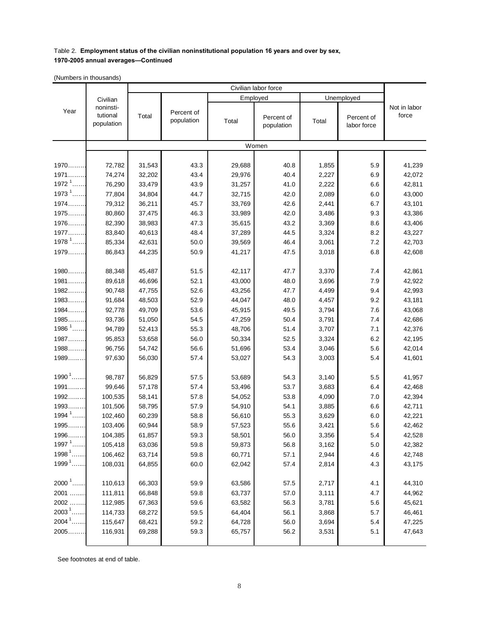## Table 2. **Employment status of the civilian noninstitutional population 16 years and over by sex,**

## **1970-2005 annual averages—Continued**

(Numbers in thousands)

|                     |                                                 | Civilian labor force |                          |          |                          |            |                           |                       |
|---------------------|-------------------------------------------------|----------------------|--------------------------|----------|--------------------------|------------|---------------------------|-----------------------|
|                     | Civilian<br>noninsti-<br>tutional<br>population |                      |                          | Employed |                          | Unemployed |                           |                       |
| Year                |                                                 | Total                | Percent of<br>population | Total    | Percent of<br>population | Total      | Percent of<br>labor force | Not in labor<br>force |
|                     |                                                 |                      |                          |          | Women                    |            |                           |                       |
|                     |                                                 |                      |                          |          |                          |            |                           |                       |
| 1970                | 72,782                                          | 31,543               | 43.3                     | 29,688   | 40.8                     | 1,855      | 5.9                       | 41,239                |
| $1971$              | 74,274                                          | 32,202               | 43.4                     | 29,976   | 40.4                     | 2,227      | 6.9                       | 42,072                |
| 1972 $1$            | 76,290                                          | 33,479               | 43.9                     | 31,257   | 41.0                     | 2,222      | 6.6                       | 42,811                |
| 1973 $1$            | 77,804                                          | 34,804               | 44.7                     | 32,715   | 42.0                     | 2,089      | 6.0                       | 43,000                |
| $1974$              | 79,312                                          | 36,211               | 45.7                     | 33,769   | 42.6                     | 2,441      | 6.7                       | 43,101                |
| 1975                | 80,860                                          | 37,475               | 46.3                     | 33,989   | 42.0                     | 3,486      | 9.3                       | 43,386                |
| 1976                | 82,390                                          | 38,983               | 47.3                     | 35,615   | 43.2                     | 3,369      | 8.6                       | 43,406                |
| 1977                | 83,840                                          | 40,613               | 48.4                     | 37,289   | 44.5                     | 3,324      | 8.2                       | 43,227                |
| 1978 $1$            | 85,334                                          | 42,631               | 50.0                     | 39,569   | 46.4                     | 3,061      | 7.2                       | 42,703                |
| 1979                | 86,843                                          | 44,235               | 50.9                     | 41,217   | 47.5                     | 3,018      | 6.8                       | 42,608                |
|                     |                                                 |                      |                          |          |                          |            |                           |                       |
| 1980                | 88,348                                          | 45,487               | 51.5                     | 42,117   | 47.7                     | 3,370      | 7.4                       | 42,861                |
| $1981$              | 89,618                                          | 46,696               | 52.1                     | 43,000   | 48.0                     | 3,696      | 7.9                       | 42,922                |
| $1982$              | 90,748                                          | 47,755               | 52.6                     | 43,256   | 47.7                     | 4,499      | 9.4                       | 42,993                |
| 1983                | 91,684                                          | 48,503               | 52.9                     | 44,047   | 48.0                     | 4,457      | 9.2                       | 43,181                |
| $1984$              | 92,778                                          | 49,709               | 53.6                     | 45,915   | 49.5                     | 3,794      | 7.6                       | 43,068                |
| $1985$              | 93,736                                          | 51,050               | 54.5                     | 47,259   | 50.4                     | 3,791      | 7.4                       | 42,686                |
| 1986 $1$            | 94,789                                          | 52,413               | 55.3                     | 48,706   | 51.4                     | 3,707      | 7.1                       | 42,376                |
| 1987                | 95,853                                          | 53,658               | 56.0                     | 50,334   | 52.5                     | 3,324      | 6.2                       | 42,195                |
| $1988$              | 96,756                                          | 54,742               | 56.6                     | 51,696   | 53.4                     | 3,046      | 5.6                       | 42,014                |
| 1989                | 97,630                                          | 56,030               | 57.4                     | 53,027   | 54.3                     | 3,003      | 5.4                       | 41,601                |
|                     |                                                 |                      |                          |          |                          |            |                           |                       |
| $1990$ <sup>1</sup> | 98,787                                          | 56,829               | 57.5                     | 53,689   | 54.3                     | 3,140      | 5.5                       | 41,957                |
| $1991$              | 99,646                                          | 57,178               | 57.4                     | 53,496   | 53.7                     | 3,683      | 6.4                       | 42,468                |
| $1992$              | 100,535                                         | 58,141               | 57.8                     | 54,052   | 53.8                     | 4,090      | 7.0                       | 42,394                |
| 1993                | 101,506                                         | 58,795               | 57.9                     | 54,910   | 54.1                     | 3,885      | 6.6                       | 42,711                |
| 1994 $1$            | 102,460                                         | 60,239               | 58.8                     | 56,610   | 55.3                     | 3,629      | 6.0                       | 42,221                |
| $1995$              | 103,406                                         | 60,944               | 58.9                     | 57,523   | 55.6                     | 3,421      | 5.6                       | 42,462                |
| <u> 1996.</u>       | 104,385                                         | 61,857               | 59.3                     | 58,501   | 56.0                     | 3,356      | 5.4                       | 42,528                |
| 1997 $1$            | 105,418                                         | 63,036               | 59.8                     | 59,873   | 56.8                     | 3,162      | $5.0\,$                   | 42,382                |
| $19981$ .           | 106,462                                         | 63,714               | 59.8                     | 60,771   | 57.1                     | 2,944      | 4.6                       | 42,748                |
| $1999^1$            | 108,031                                         | 64,855               | 60.0                     | 62,042   | 57.4                     | 2,814      | 4.3                       | 43,175                |
|                     |                                                 |                      |                          |          |                          |            |                           |                       |
| 2000 $1$            | 110,613                                         | 66,303               | 59.9                     | 63,586   | 57.5                     | 2,717      | 4.1                       | 44,310                |
| 2001                | 111,811                                         | 66,848               | 59.8                     | 63,737   | 57.0                     | 3,111      | 4.7                       | 44,962                |
| 2002.               | 112,985                                         | 67,363               | 59.6                     | 63,582   | 56.3                     | 3,781      | 5.6                       | 45,621                |
| $2003^1$ .          | 114,733                                         | 68,272               | 59.5                     | 64,404   | 56.1                     | 3,868      | 5.7                       | 46,461                |
| $2004^1$ .          | 115,647                                         | 68,421               | 59.2                     | 64,728   | 56.0                     | 3,694      | 5.4                       | 47,225                |
| 2005                | 116,931                                         | 69,288               | 59.3                     | 65,757   | 56.2                     | 3,531      | 5.1                       | 47,643                |
|                     |                                                 |                      |                          |          |                          |            |                           |                       |

See footnotes at end of table.